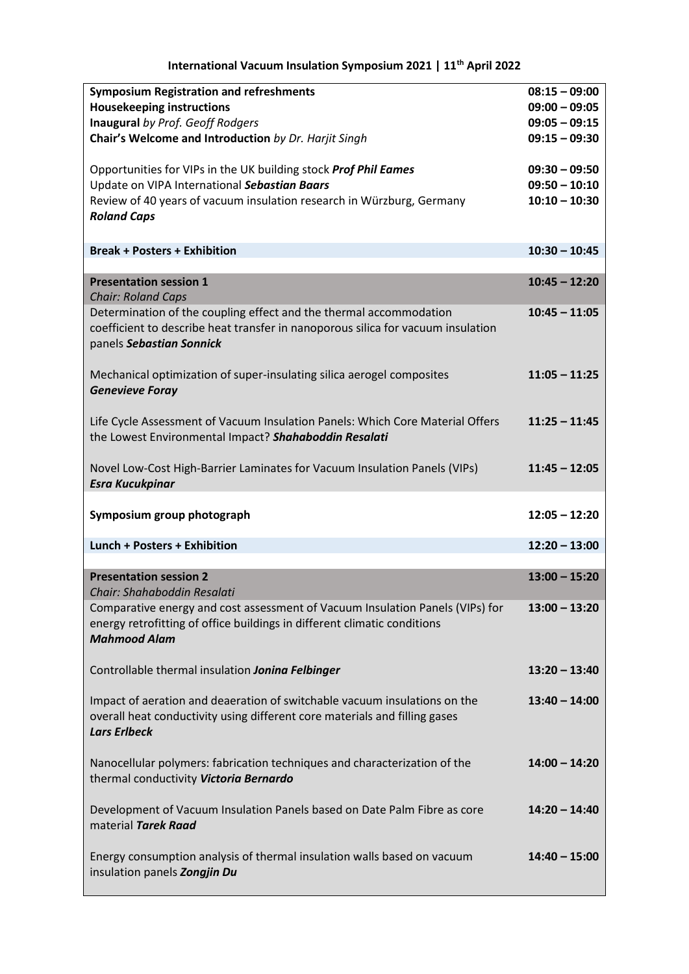**International Vacuum Insulation Symposium 2021 | 11th April 2022**

| <b>Symposium Registration and refreshments</b>                                   | $08:15 - 09:00$ |
|----------------------------------------------------------------------------------|-----------------|
| <b>Housekeeping instructions</b>                                                 | $09:00 - 09:05$ |
| Inaugural by Prof. Geoff Rodgers                                                 | $09:05 - 09:15$ |
| Chair's Welcome and Introduction by Dr. Harjit Singh                             | $09:15 - 09:30$ |
|                                                                                  |                 |
| Opportunities for VIPs in the UK building stock Prof Phil Eames                  | $09:30 - 09:50$ |
| Update on VIPA International Sebastian Baars                                     | $09:50 - 10:10$ |
| Review of 40 years of vacuum insulation research in Würzburg, Germany            | $10:10 - 10:30$ |
| <b>Roland Caps</b>                                                               |                 |
|                                                                                  |                 |
| <b>Break + Posters + Exhibition</b>                                              | $10:30 - 10:45$ |
|                                                                                  |                 |
| <b>Presentation session 1</b>                                                    | $10:45 - 12:20$ |
| <b>Chair: Roland Caps</b>                                                        |                 |
| Determination of the coupling effect and the thermal accommodation               | $10:45 - 11:05$ |
| coefficient to describe heat transfer in nanoporous silica for vacuum insulation |                 |
| panels Sebastian Sonnick                                                         |                 |
|                                                                                  |                 |
| Mechanical optimization of super-insulating silica aerogel composites            | $11:05 - 11:25$ |
| <b>Genevieve Foray</b>                                                           |                 |
|                                                                                  |                 |
| Life Cycle Assessment of Vacuum Insulation Panels: Which Core Material Offers    | $11:25 - 11:45$ |
| the Lowest Environmental Impact? Shahaboddin Resalati                            |                 |
|                                                                                  |                 |
|                                                                                  |                 |
| Novel Low-Cost High-Barrier Laminates for Vacuum Insulation Panels (VIPs)        | $11:45 - 12:05$ |
|                                                                                  |                 |
| <b>Esra Kucukpinar</b>                                                           |                 |
|                                                                                  |                 |
| Symposium group photograph                                                       | $12:05 - 12:20$ |
|                                                                                  |                 |
| Lunch + Posters + Exhibition                                                     | $12:20 - 13:00$ |
|                                                                                  |                 |
| <b>Presentation session 2</b>                                                    | $13:00 - 15:20$ |
| Chair: Shahaboddin Resalati                                                      |                 |
| Comparative energy and cost assessment of Vacuum Insulation Panels (VIPs) for    | $13:00 - 13:20$ |
| energy retrofitting of office buildings in different climatic conditions         |                 |
| <b>Mahmood Alam</b>                                                              |                 |
|                                                                                  |                 |
| Controllable thermal insulation Jonina Felbinger                                 | $13:20 - 13:40$ |
|                                                                                  |                 |
| Impact of aeration and deaeration of switchable vacuum insulations on the        | $13:40 - 14:00$ |
| overall heat conductivity using different core materials and filling gases       |                 |
| <b>Lars Erlbeck</b>                                                              |                 |
|                                                                                  |                 |
| Nanocellular polymers: fabrication techniques and characterization of the        | $14:00 - 14:20$ |
| thermal conductivity Victoria Bernardo                                           |                 |
|                                                                                  |                 |
| Development of Vacuum Insulation Panels based on Date Palm Fibre as core         | $14:20 - 14:40$ |
| material Tarek Raad                                                              |                 |
|                                                                                  |                 |
| Energy consumption analysis of thermal insulation walls based on vacuum          | $14:40 - 15:00$ |
| insulation panels Zongjin Du                                                     |                 |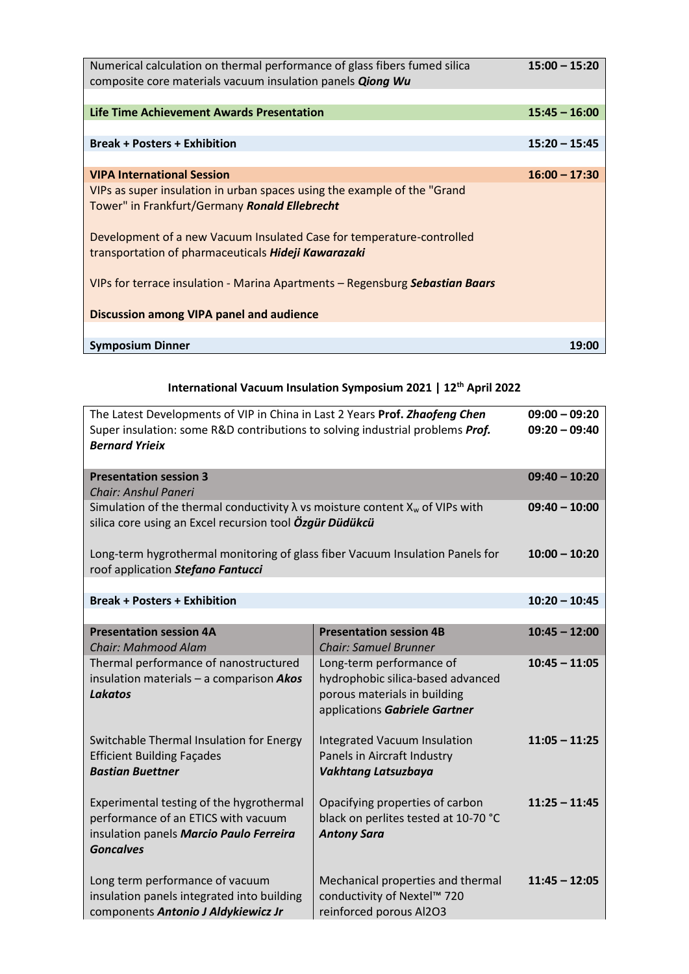| Numerical calculation on thermal performance of glass fibers fumed silica<br>composite core materials vacuum insulation panels <b>Qiong Wu</b> | $15:00 - 15:20$ |
|------------------------------------------------------------------------------------------------------------------------------------------------|-----------------|
|                                                                                                                                                |                 |
| Life Time Achievement Awards Presentation                                                                                                      | $15:45 - 16:00$ |
|                                                                                                                                                |                 |
| <b>Break + Posters + Exhibition</b>                                                                                                            | $15:20 - 15:45$ |
|                                                                                                                                                |                 |
| <b>VIPA International Session</b>                                                                                                              | $16:00 - 17:30$ |
| VIPs as super insulation in urban spaces using the example of the "Grand"<br>Tower" in Frankfurt/Germany Ronald Ellebrecht                     |                 |
| Development of a new Vacuum Insulated Case for temperature-controlled<br>transportation of pharmaceuticals Hideji Kawarazaki                   |                 |
| VIPs for terrace insulation - Marina Apartments - Regensburg Sebastian Baars                                                                   |                 |
| Discussion among VIPA panel and audience                                                                                                       |                 |
|                                                                                                                                                |                 |
| <b>Symposium Dinner</b>                                                                                                                        | 19:00           |

## **International Vacuum Insulation Symposium 2021 | 12th April 2022**

| The Latest Developments of VIP in China in Last 2 Years Prof. Zhaofeng Chen<br>Super insulation: some R&D contributions to solving industrial problems Prof.<br><b>Bernard Yrieix</b> | $09:00 - 09:20$<br>$09:20 - 09:40$                                                                                             |                 |
|---------------------------------------------------------------------------------------------------------------------------------------------------------------------------------------|--------------------------------------------------------------------------------------------------------------------------------|-----------------|
| <b>Presentation session 3</b><br>Chair: Anshul Paneri                                                                                                                                 |                                                                                                                                | $09:40 - 10:20$ |
| Simulation of the thermal conductivity $\lambda$ vs moisture content $X_w$ of VIPs with<br>silica core using an Excel recursion tool Özgür Düdükcü                                    | $09:40 - 10:00$                                                                                                                |                 |
| Long-term hygrothermal monitoring of glass fiber Vacuum Insulation Panels for<br>roof application Stefano Fantucci                                                                    |                                                                                                                                | $10:00 - 10:20$ |
| <b>Break + Posters + Exhibition</b>                                                                                                                                                   |                                                                                                                                | $10:20 - 10:45$ |
| <b>Presentation session 4A</b><br><b>Chair: Mahmood Alam</b>                                                                                                                          | <b>Presentation session 4B</b><br><b>Chair: Samuel Brunner</b>                                                                 | $10:45 - 12:00$ |
| Thermal performance of nanostructured<br>insulation materials - a comparison Akos<br><b>Lakatos</b>                                                                                   | Long-term performance of<br>hydrophobic silica-based advanced<br>porous materials in building<br>applications Gabriele Gartner | $10:45 - 11:05$ |
| Switchable Thermal Insulation for Energy<br><b>Efficient Building Façades</b><br><b>Bastian Buettner</b>                                                                              | <b>Integrated Vacuum Insulation</b><br>Panels in Aircraft Industry<br>Vakhtang Latsuzbaya                                      | $11:05 - 11:25$ |
| Experimental testing of the hygrothermal<br>performance of an ETICS with vacuum<br>insulation panels Marcio Paulo Ferreira<br><b>Goncalves</b>                                        | Opacifying properties of carbon<br>black on perlites tested at 10-70 °C<br><b>Antony Sara</b>                                  | $11:25 - 11:45$ |
| Long term performance of vacuum<br>insulation panels integrated into building<br>components Antonio J Aldykiewicz Jr                                                                  | Mechanical properties and thermal<br>conductivity of Nextel™ 720<br>reinforced porous Al2O3                                    | $11:45 - 12:05$ |